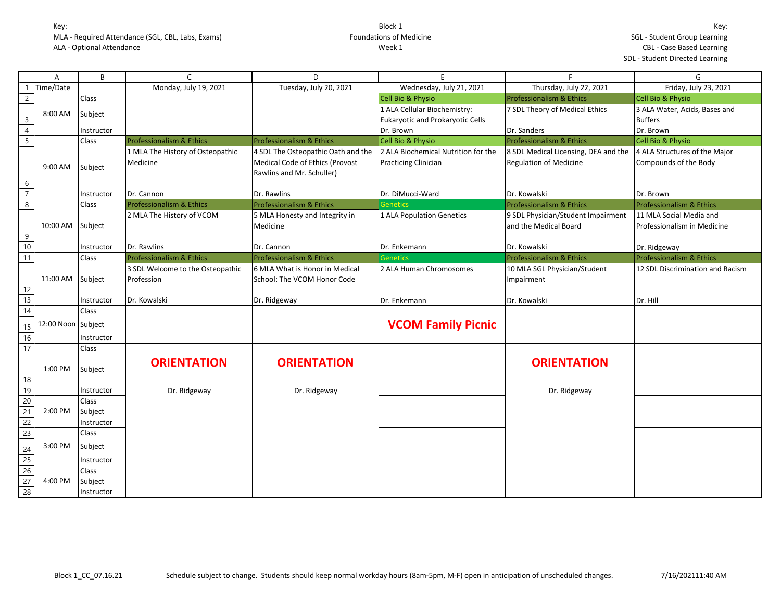|                                                     | A                  | B            | $\epsilon$                       | D                                   | F                                       | F                                    | G                                   |
|-----------------------------------------------------|--------------------|--------------|----------------------------------|-------------------------------------|-----------------------------------------|--------------------------------------|-------------------------------------|
|                                                     | Time/Date          |              | Monday, July 19, 2021            | Tuesday, July 20, 2021              | Wednesday, July 21, 2021                | Thursday, July 22, 2021              | Friday, July 23, 2021               |
| $\overline{2}$                                      |                    | Class        |                                  |                                     | Cell Bio & Physio                       | <b>Professionalism &amp; Ethics</b>  | <b>Cell Bio &amp; Physio</b>        |
|                                                     | 8:00 AM            | Subject      |                                  |                                     | 1 ALA Cellular Biochemistry:            | 7 SDL Theory of Medical Ethics       | 3 ALA Water, Acids, Bases and       |
| $\overline{\mathbf{3}}$                             |                    |              |                                  |                                     | <b>Eukaryotic and Prokaryotic Cells</b> |                                      | <b>Buffers</b>                      |
| $\overline{4}$                                      |                    | Instructor   |                                  |                                     | Dr. Brown                               | Dr. Sanders                          | Dr. Brown                           |
| $\overline{\mathbf{5}}$                             |                    | Class        | Professionalism & Ethics         | <b>Professionalism &amp; Ethics</b> | Cell Bio & Physio                       | Professionalism & Ethics             | Cell Bio & Physio                   |
|                                                     |                    |              | 1 MLA The History of Osteopathic | 4 SDL The Osteopathic Oath and the  | 2 ALA Biochemical Nutrition for the     | 8 SDL Medical Licensing, DEA and the | 4 ALA Structures of the Major       |
|                                                     | 9:00 AM            | Subject      | Medicine                         | Medical Code of Ethics (Provost     | <b>Practicing Clinician</b>             | <b>Regulation of Medicine</b>        | Compounds of the Body               |
|                                                     |                    |              |                                  | Rawlins and Mr. Schuller)           |                                         |                                      |                                     |
| 6                                                   |                    |              |                                  |                                     |                                         |                                      |                                     |
| $\overline{7}$                                      |                    | Instructor   | Dr. Cannon                       | Dr. Rawlins                         | Dr. DiMucci-Ward                        | Dr. Kowalski                         | Dr. Brown                           |
| $\,8\,$                                             |                    | <b>Class</b> | Professionalism & Ethics         | Professionalism & Ethics            | <b>Genetics</b>                         | Professionalism & Ethics             | Professionalism & Ethics            |
|                                                     |                    |              | 2 MLA The History of VCOM        | 5 MLA Honesty and Integrity in      | 1 ALA Population Genetics               | 9 SDL Physician/Student Impairment   | 11 MLA Social Media and             |
|                                                     | 10:00 AM           | Subject      |                                  | Medicine                            |                                         | and the Medical Board                | Professionalism in Medicine         |
| 9                                                   |                    |              |                                  |                                     |                                         |                                      |                                     |
| 10                                                  |                    | Instructor   | Dr. Rawlins                      | Dr. Cannon                          | Dr. Enkemann                            | Dr. Kowalski                         | Dr. Ridgeway                        |
| 11                                                  |                    | <b>Class</b> | Professionalism & Ethics         | <b>Professionalism &amp; Ethics</b> | <b>Genetics</b>                         | Professionalism & Ethics             | <b>Professionalism &amp; Ethics</b> |
|                                                     |                    |              | 3 SDL Welcome to the Osteopathic | 6 MLA What is Honor in Medical      | 2 ALA Human Chromosomes                 | 10 MLA SGL Physician/Student         | 12 SDL Discrimination and Racism    |
|                                                     | 11:00 AM           | Subject      | Profession                       | School: The VCOM Honor Code         |                                         | Impairment                           |                                     |
| 12                                                  |                    |              |                                  |                                     |                                         |                                      |                                     |
| $\overline{13}$                                     |                    | Instructor   | Dr. Kowalski                     | Dr. Ridgeway                        | Dr. Enkemann                            | Dr. Kowalski                         | Dr. Hill                            |
| 14                                                  |                    | Class        |                                  |                                     |                                         |                                      |                                     |
| 15                                                  | 12:00 Noon Subject |              |                                  |                                     | <b>VCOM Family Picnic</b>               |                                      |                                     |
| 16                                                  |                    | Instructor   |                                  |                                     |                                         |                                      |                                     |
| 17                                                  |                    | Class        |                                  |                                     |                                         |                                      |                                     |
|                                                     |                    |              |                                  |                                     |                                         |                                      |                                     |
|                                                     | 1:00 PM            | Subject      | <b>ORIENTATION</b>               | <b>ORIENTATION</b>                  |                                         | <b>ORIENTATION</b>                   |                                     |
| 18                                                  |                    |              |                                  |                                     |                                         |                                      |                                     |
|                                                     |                    | Instructor   | Dr. Ridgeway                     | Dr. Ridgeway                        |                                         | Dr. Ridgeway                         |                                     |
|                                                     |                    | Class        |                                  |                                     |                                         |                                      |                                     |
| $\begin{array}{r} 18 \\ 19 \\ 20 \\ 21 \end{array}$ | 2:00 PM            | Subject      |                                  |                                     |                                         |                                      |                                     |
| 22                                                  |                    | Instructor   |                                  |                                     |                                         |                                      |                                     |
| $\overline{23}$                                     |                    | Class        |                                  |                                     |                                         |                                      |                                     |
|                                                     | 3:00 PM            | Subject      |                                  |                                     |                                         |                                      |                                     |
| $\frac{24}{25}$                                     |                    | Instructor   |                                  |                                     |                                         |                                      |                                     |
|                                                     |                    | Class        |                                  |                                     |                                         |                                      |                                     |
| $\frac{26}{27}$                                     | 4:00 PM            | Subject      |                                  |                                     |                                         |                                      |                                     |
| 28                                                  |                    | Instructor   |                                  |                                     |                                         |                                      |                                     |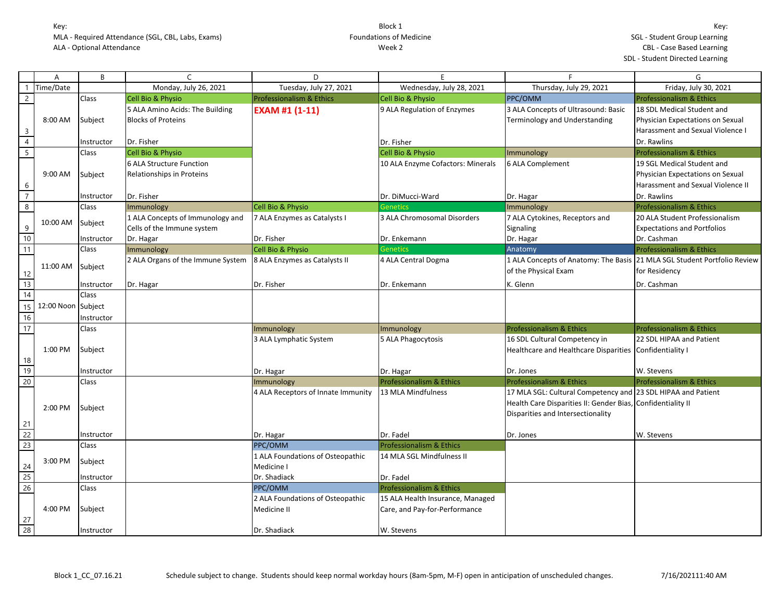|                 | Α          | B          | $\mathcal{C}$                     | D                                   | E                                   | F.                                                                       | G                                   |
|-----------------|------------|------------|-----------------------------------|-------------------------------------|-------------------------------------|--------------------------------------------------------------------------|-------------------------------------|
|                 | Time/Date  |            | Monday, July 26, 2021             | Tuesday, July 27, 2021              | Wednesday, July 28, 2021            | Thursday, July 29, 2021                                                  | Friday, July 30, 2021               |
| $\overline{2}$  |            | Class      | Cell Bio & Physio                 | <b>Professionalism &amp; Ethics</b> | Cell Bio & Physio                   | PPC/OMM                                                                  | <b>Professionalism &amp; Ethics</b> |
|                 |            |            | 5 ALA Amino Acids: The Building   | EXAM #1 (1-11)                      | 9 ALA Regulation of Enzymes         | 3 ALA Concepts of Ultrasound: Basic                                      | 18 SDL Medical Student and          |
|                 | 8:00 AM    | Subject    | <b>Blocks of Proteins</b>         |                                     |                                     | Terminology and Understanding                                            | Physician Expectations on Sexual    |
| $\mathbf{3}$    |            |            |                                   |                                     |                                     |                                                                          | Harassment and Sexual Violence I    |
| $\overline{4}$  |            | Instructor | Dr. Fisher                        |                                     | Dr. Fisher                          |                                                                          | Dr. Rawlins                         |
| $\overline{5}$  |            | Class      | Cell Bio & Physio                 |                                     | Cell Bio & Physio                   | Immunology                                                               | <b>Professionalism &amp; Ethics</b> |
|                 |            |            | 6 ALA Structure Function          |                                     | 10 ALA Enzyme Cofactors: Minerals   | 6 ALA Complement                                                         | 19 SGL Medical Student and          |
|                 | 9:00 AM    | Subject    | Relationships in Proteins         |                                     |                                     |                                                                          | Physician Expectations on Sexual    |
| 6               |            |            |                                   |                                     |                                     |                                                                          | Harassment and Sexual Violence II   |
| $\overline{7}$  |            | Instructor | Dr. Fisher                        |                                     | Dr. DiMucci-Ward                    | Dr. Hagar                                                                | Dr. Rawlins                         |
| $\bf 8$         |            | Class      | Immunology                        | Cell Bio & Physio                   | <b>Genetics</b>                     | Immunology                                                               | <b>Professionalism &amp; Ethics</b> |
|                 | 10:00 AM   |            | 1 ALA Concepts of Immunology and  | 7 ALA Enzymes as Catalysts I        | 3 ALA Chromosomal Disorders         | 7 ALA Cytokines, Receptors and                                           | 20 ALA Student Professionalism      |
| 9               |            | Subject    | Cells of the Immune system        |                                     |                                     | Signaling                                                                | <b>Expectations and Portfolios</b>  |
| 10              |            | Instructor | Dr. Hagar                         | Dr. Fisher                          | Dr. Enkemann                        | Dr. Hagar                                                                | Dr. Cashman                         |
| 11              |            | Class      | Immunology                        | Cell Bio & Physio                   | <b>Genetics</b>                     | Anatomy                                                                  | Professionalism & Ethics            |
|                 | 11:00 AM   |            | 2 ALA Organs of the Immune System | 8 ALA Enzymes as Catalysts II       | 4 ALA Central Dogma                 | 1 ALA Concepts of Anatomy: The Basis 21 MLA SGL Student Portfolio Review |                                     |
| 12              |            | Subject    |                                   |                                     |                                     | of the Physical Exam                                                     | for Residency                       |
| 13              |            | Instructor | Dr. Hagar                         | Dr. Fisher                          | Dr. Enkemann                        | K. Glenn                                                                 | Dr. Cashman                         |
| $\overline{14}$ |            | Class      |                                   |                                     |                                     |                                                                          |                                     |
| 15              | 12:00 Noon | Subject    |                                   |                                     |                                     |                                                                          |                                     |
| 16              |            | Instructor |                                   |                                     |                                     |                                                                          |                                     |
| $\overline{17}$ |            | Class      |                                   | Immunology                          | Immunology                          | Professionalism & Ethics                                                 | <b>Professionalism &amp; Ethics</b> |
|                 |            |            |                                   | 3 ALA Lymphatic System              | 5 ALA Phagocytosis                  | 16 SDL Cultural Competency in                                            | 22 SDL HIPAA and Patient            |
|                 | 1:00 PM    | Subject    |                                   |                                     |                                     | Healthcare and Healthcare Disparities Confidentiality I                  |                                     |
| 18              |            |            |                                   |                                     |                                     |                                                                          |                                     |
| 19              |            | Instructor |                                   | Dr. Hagar                           | Dr. Hagar                           | Dr. Jones                                                                | W. Stevens                          |
| 20              |            | Class      |                                   | Immunology                          | <b>Professionalism &amp; Ethics</b> | <b>Professionalism &amp; Ethics</b>                                      | <b>Professionalism &amp; Ethics</b> |
|                 |            |            |                                   | 4 ALA Receptors of Innate Immunity  | 13 MLA Mindfulness                  | 17 MLA SGL: Cultural Competency and 23 SDL HIPAA and Patient             |                                     |
|                 | 2:00 PM    | Subject    |                                   |                                     |                                     | Health Care Disparities II: Gender Bias, Confidentiality II              |                                     |
|                 |            |            |                                   |                                     |                                     | Disparities and Intersectionality                                        |                                     |
| 21              |            |            |                                   |                                     |                                     |                                                                          |                                     |
| $\frac{22}{23}$ |            | Instructor |                                   | Dr. Hagar                           | Dr. Fadel                           | Dr. Jones                                                                | W. Stevens                          |
|                 |            | Class      |                                   | PPC/OMM                             | <b>Professionalism &amp; Ethics</b> |                                                                          |                                     |
|                 | 3:00 PM    | Subject    |                                   | 1 ALA Foundations of Osteopathic    | 14 MLA SGL Mindfulness II           |                                                                          |                                     |
| 24              |            |            |                                   | Medicine I                          |                                     |                                                                          |                                     |
| 25              |            | Instructor |                                   | Dr. Shadiack                        | Dr. Fadel                           |                                                                          |                                     |
| 26              |            | Class      |                                   | PPC/OMM                             | Professionalism & Ethics            |                                                                          |                                     |
|                 |            |            |                                   | 2 ALA Foundations of Osteopathic    | 15 ALA Health Insurance, Managed    |                                                                          |                                     |
|                 | 4:00 PM    | Subject    |                                   | Medicine II                         | Care, and Pay-for-Performance       |                                                                          |                                     |
| 27              |            |            |                                   |                                     |                                     |                                                                          |                                     |
| 28              |            | Instructor |                                   | Dr. Shadiack                        | W. Stevens                          |                                                                          |                                     |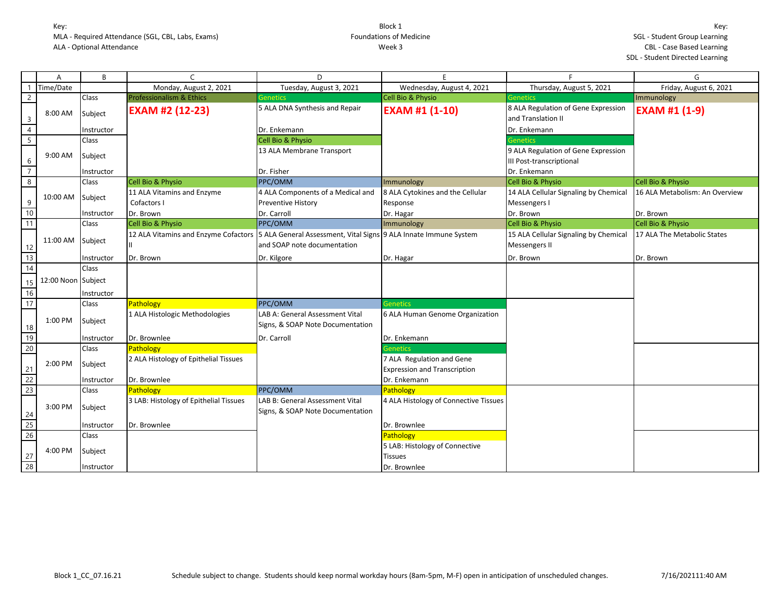|                 | Α                  | B          | $\mathsf{C}$                                                                                              | D                                                                   | E                                     | <b>F</b>                                                  | G                              |
|-----------------|--------------------|------------|-----------------------------------------------------------------------------------------------------------|---------------------------------------------------------------------|---------------------------------------|-----------------------------------------------------------|--------------------------------|
|                 | Time/Date          |            | Monday, August 2, 2021                                                                                    | Tuesday, August 3, 2021                                             | Wednesday, August 4, 2021             | Thursday, August 5, 2021                                  | Friday, August 6, 2021         |
| $\overline{2}$  |                    | Class      | <b>Professionalism &amp; Ethics</b>                                                                       | <b>Genetics</b>                                                     | Cell Bio & Physio                     | <b>Genetics</b>                                           | Immunology                     |
| $\overline{3}$  | 8:00 AM            | Subject    | <b>EXAM #2 (12-23)</b>                                                                                    | 5 ALA DNA Synthesis and Repair                                      | <b>EXAM #1 (1-10)</b>                 | 8 ALA Regulation of Gene Expression<br>and Translation II | <b>EXAM #1 (1-9)</b>           |
| $\overline{4}$  |                    | Instructor |                                                                                                           | Dr. Enkemann                                                        |                                       | Dr. Enkemann                                              |                                |
| $5\overline{)}$ |                    | Class      |                                                                                                           | Cell Bio & Physio                                                   |                                       | <b>Genetics</b>                                           |                                |
|                 |                    |            |                                                                                                           | 13 ALA Membrane Transport                                           |                                       | 9 ALA Regulation of Gene Expression                       |                                |
| 6               | 9:00 AM            | Subject    |                                                                                                           |                                                                     |                                       | III Post-transcriptional                                  |                                |
| $\overline{7}$  |                    | Instructor |                                                                                                           | Dr. Fisher                                                          |                                       | Dr. Enkemann                                              |                                |
| 8               |                    | Class      | Cell Bio & Physio                                                                                         | PPC/OMM                                                             | Immunology                            | Cell Bio & Physio                                         | Cell Bio & Physio              |
|                 |                    |            | 11 ALA Vitamins and Enzyme                                                                                | 4 ALA Components of a Medical and                                   | 8 ALA Cytokines and the Cellular      | 14 ALA Cellular Signaling by Chemical                     | 16 ALA Metabolism: An Overview |
| 9               | 10:00 AM Subject   |            | Cofactors I                                                                                               | <b>Preventive History</b>                                           | Response                              | Messengers I                                              |                                |
| 10              |                    | Instructor | Dr. Brown                                                                                                 | Dr. Carroll                                                         | Dr. Hagar                             | Dr. Brown                                                 | Dr. Brown                      |
| 11              |                    | Class      | Cell Bio & Physio                                                                                         | PPC/OMM                                                             | Immunology                            | Cell Bio & Physio                                         | Cell Bio & Physio              |
|                 |                    |            | 12 ALA Vitamins and Enzyme Cofactors   5 ALA General Assessment, Vital Signs   9 ALA Innate Immune System |                                                                     |                                       | 15 ALA Cellular Signaling by Chemical                     | 17 ALA The Metabolic States    |
| 12              | 11:00 AM Subject   |            |                                                                                                           | and SOAP note documentation                                         |                                       | Messengers II                                             |                                |
| 13              |                    | Instructor | Dr. Brown                                                                                                 | Dr. Kilgore                                                         | Dr. Hagar                             | Dr. Brown                                                 | Dr. Brown                      |
| 14              |                    | Class      |                                                                                                           |                                                                     |                                       |                                                           |                                |
|                 | 12:00 Noon Subject |            |                                                                                                           |                                                                     |                                       |                                                           |                                |
| 15<br>16        |                    |            |                                                                                                           |                                                                     |                                       |                                                           |                                |
| 17              |                    | Instructor |                                                                                                           | PPC/OMM                                                             | <b>Genetics</b>                       |                                                           |                                |
|                 |                    | Class      | Pathology                                                                                                 |                                                                     |                                       |                                                           |                                |
| 18              | 1:00 PM            | Subject    | 1 ALA Histologic Methodologies                                                                            | LAB A: General Assessment Vital<br>Signs, & SOAP Note Documentation | 6 ALA Human Genome Organization       |                                                           |                                |
| 19              |                    | Instructor | Dr. Brownlee                                                                                              | Dr. Carroll                                                         | Dr. Enkemann                          |                                                           |                                |
| 20              |                    | Class      | Pathology                                                                                                 |                                                                     | <b>Genetics</b>                       |                                                           |                                |
|                 | 2:00 PM            |            | 2 ALA Histology of Epithelial Tissues                                                                     |                                                                     | 7 ALA Regulation and Gene             |                                                           |                                |
| 21              |                    | Subject    |                                                                                                           |                                                                     | <b>Expression and Transcription</b>   |                                                           |                                |
| 22              |                    | Instructor | Dr. Brownlee                                                                                              |                                                                     | Dr. Enkemann                          |                                                           |                                |
| 23              |                    | Class      | Pathology                                                                                                 | PPC/OMM                                                             | Pathology                             |                                                           |                                |
|                 | 3:00 PM            | Subject    | 3 LAB: Histology of Epithelial Tissues                                                                    | LAB B: General Assessment Vital<br>Signs, & SOAP Note Documentation | 4 ALA Histology of Connective Tissues |                                                           |                                |
| 24              |                    |            |                                                                                                           |                                                                     |                                       |                                                           |                                |
| 25              |                    | Instructor | Dr. Brownlee                                                                                              |                                                                     | Dr. Brownlee                          |                                                           |                                |
| 26              |                    | Class      |                                                                                                           |                                                                     | Pathology                             |                                                           |                                |
|                 | 4:00 PM            | Subject    |                                                                                                           |                                                                     | 5 LAB: Histology of Connective        |                                                           |                                |
| $\frac{27}{28}$ |                    |            |                                                                                                           |                                                                     | Tissues                               |                                                           |                                |
|                 |                    | Instructor |                                                                                                           |                                                                     | Dr. Brownlee                          |                                                           |                                |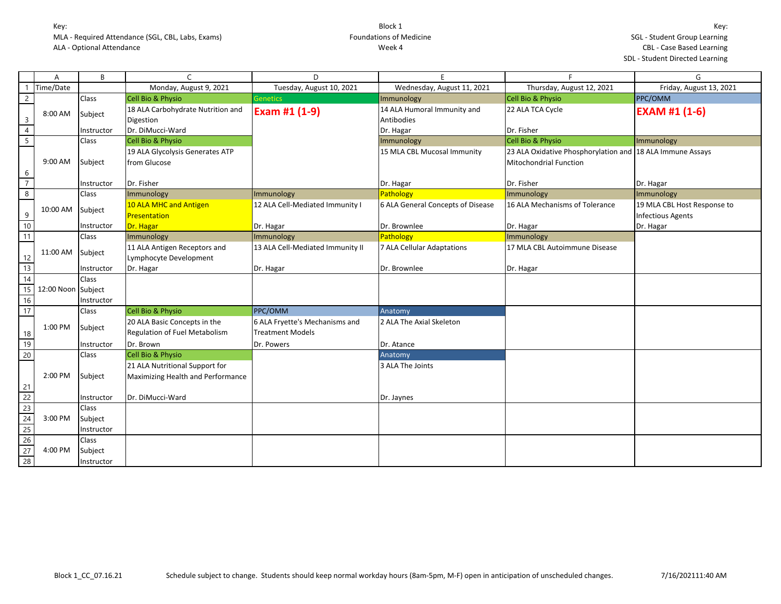|                                                      | Α                  | B            |                                   | D                                |                                   | F                                                         | G                           |
|------------------------------------------------------|--------------------|--------------|-----------------------------------|----------------------------------|-----------------------------------|-----------------------------------------------------------|-----------------------------|
|                                                      | Time/Date          |              | Monday, August 9, 2021            | Tuesday, August 10, 2021         | Wednesday, August 11, 2021        | Thursday, August 12, 2021                                 | Friday, August 13, 2021     |
| $\overline{2}$                                       |                    | Class        | <b>Cell Bio &amp; Physio</b>      | <b>Genetics</b>                  | Immunology                        | Cell Bio & Physio                                         | <b>PPC/OMM</b>              |
|                                                      | 8:00 AM            |              | 18 ALA Carbohydrate Nutrition and | Exam #1 (1-9)                    | 14 ALA Humoral Immunity and       | 22 ALA TCA Cycle                                          | <b>EXAM #1 (1-6)</b>        |
| $\overline{3}$                                       |                    | Subject      | Digestion                         |                                  | Antibodies                        |                                                           |                             |
| $\overline{4}$                                       |                    | Instructor   | Dr. DiMucci-Ward                  |                                  | Dr. Hagar                         | Dr. Fisher                                                |                             |
| $\overline{5}$                                       |                    | Class        | Cell Bio & Physio                 |                                  | Immunology                        | Cell Bio & Physio                                         | Immunology                  |
|                                                      |                    |              | 19 ALA Glycolysis Generates ATP   |                                  | 15 MLA CBL Mucosal Immunity       | 23 ALA Oxidative Phosphorylation and 18 ALA Immune Assays |                             |
|                                                      | 9:00 AM            | Subject      | from Glucose                      |                                  |                                   | <b>Mitochondrial Function</b>                             |                             |
| 6                                                    |                    |              |                                   |                                  |                                   |                                                           |                             |
| $\overline{7}$                                       |                    | Instructor   | Dr. Fisher                        |                                  | Dr. Hagar                         | Dr. Fisher                                                | Dr. Hagar                   |
| $\overline{8}$                                       |                    | <b>Class</b> | Immunology                        | Immunology                       | Pathology                         | Immunology                                                | Immunology                  |
|                                                      | 10:00 AM           | Subject      | 10 ALA MHC and Antigen            | 12 ALA Cell-Mediated Immunity I  | 6 ALA General Concepts of Disease | 16 ALA Mechanisms of Tolerance                            | 19 MLA CBL Host Response to |
| 9                                                    |                    |              | Presentation                      |                                  |                                   |                                                           | <b>Infectious Agents</b>    |
| 10                                                   |                    | Instructor   | Dr. Hagar                         | Dr. Hagar                        | Dr. Brownlee                      | Dr. Hagar                                                 | Dr. Hagar                   |
| $\overline{11}$                                      |                    | Class        | Immunology                        | Immunology                       | Pathology                         | Immunology                                                |                             |
|                                                      | 11:00 AM           | Subject      | 11 ALA Antigen Receptors and      | 13 ALA Cell-Mediated Immunity II | 7 ALA Cellular Adaptations        | 17 MLA CBL Autoimmune Disease                             |                             |
|                                                      |                    |              | Lymphocyte Development            |                                  |                                   |                                                           |                             |
| $\begin{array}{r} 12 \\ \hline 13 \\ 14 \end{array}$ |                    | Instructor   | Dr. Hagar                         | Dr. Hagar                        | Dr. Brownlee                      | Dr. Hagar                                                 |                             |
|                                                      |                    | <b>Class</b> |                                   |                                  |                                   |                                                           |                             |
| 15                                                   | 12:00 Noon Subject |              |                                   |                                  |                                   |                                                           |                             |
| 16                                                   |                    | Instructor   |                                   |                                  |                                   |                                                           |                             |
| 17                                                   |                    | Class        | <b>Cell Bio &amp; Physio</b>      | PPC/OMM                          | Anatomy                           |                                                           |                             |
|                                                      | 1:00 PM            | Subject      | 20 ALA Basic Concepts in the      | 6 ALA Fryette's Mechanisms and   | 2 ALA The Axial Skeleton          |                                                           |                             |
|                                                      |                    |              | Regulation of Fuel Metabolism     | <b>Treatment Models</b>          |                                   |                                                           |                             |
| $\frac{18}{19}$                                      |                    | Instructor   | Dr. Brown                         | Dr. Powers                       | Dr. Atance                        |                                                           |                             |
| $\overline{20}$                                      |                    | Class        | Cell Bio & Physio                 |                                  | Anatomy                           |                                                           |                             |
|                                                      |                    |              | 21 ALA Nutritional Support for    |                                  | 3 ALA The Joints                  |                                                           |                             |
|                                                      | 2:00 PM            | Subject      | Maximizing Health and Performance |                                  |                                   |                                                           |                             |
| 21                                                   |                    |              |                                   |                                  |                                   |                                                           |                             |
| $\overline{22}$                                      |                    | Instructor   | Dr. DiMucci-Ward                  |                                  | Dr. Jaynes                        |                                                           |                             |
| 23                                                   |                    | Class        |                                   |                                  |                                   |                                                           |                             |
| 24                                                   | 3:00 PM            | Subject      |                                   |                                  |                                   |                                                           |                             |
| 25                                                   |                    | Instructor   |                                   |                                  |                                   |                                                           |                             |
| $\frac{26}{27}$                                      |                    | Class        |                                   |                                  |                                   |                                                           |                             |
|                                                      | 4:00 PM            | Subject      |                                   |                                  |                                   |                                                           |                             |
| $\overline{28}$                                      |                    | Instructor   |                                   |                                  |                                   |                                                           |                             |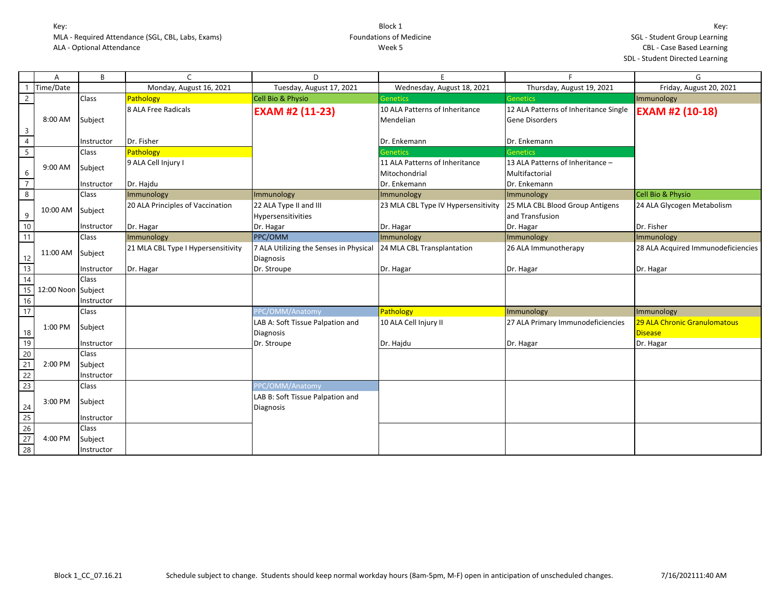| Α                         | B            | C                                  | D                                                          |                                             |                                                                | G                                  |
|---------------------------|--------------|------------------------------------|------------------------------------------------------------|---------------------------------------------|----------------------------------------------------------------|------------------------------------|
| Time/Date                 |              | Monday, August 16, 2021            | Tuesday, August 17, 2021                                   | Wednesday, August 18, 2021                  | Thursday, August 19, 2021                                      | Friday, August 20, 2021            |
| $\overline{2}$            | Class        | Pathology                          | Cell Bio & Physio                                          | Genetics                                    | <b>Genetics</b>                                                | Immunology                         |
| 8:00 AM<br>$\overline{3}$ | Subject      | 8 ALA Free Radicals                | <b>EXAM #2 (11-23)</b>                                     | 10 ALA Patterns of Inheritance<br>Mendelian | 12 ALA Patterns of Inheritance Single<br><b>Gene Disorders</b> | <b>EXAM #2 (10-18)</b>             |
| $\overline{4}$            | Instructor   | Dr. Fisher                         |                                                            | Dr. Enkemann                                | Dr. Enkemann                                                   |                                    |
| $\overline{5}$            | Class        | Pathology                          |                                                            | <b>Genetics</b>                             | <b>Genetics</b>                                                |                                    |
| 9:00 AM                   | Subject      | 9 ALA Cell Injury I                |                                                            | 11 ALA Patterns of Inheritance              | 13 ALA Patterns of Inheritance -                               |                                    |
| 6<br>$\overline{7}$       | Instructor   | Dr. Hajdu                          |                                                            | Mitochondrial<br>Dr. Enkemann               | Multifactorial<br>Dr. Enkemann                                 |                                    |
| $\infty$                  | Class        | Immunology                         | Immunology                                                 | Immunology                                  | Immunology                                                     | Cell Bio & Physio                  |
| 10:00 AM<br>9             | Subject      | 20 ALA Principles of Vaccination   | 22 ALA Type II and III<br>Hypersensitivities               | 23 MLA CBL Type IV Hypersensitivity         | 25 MLA CBL Blood Group Antigens<br>and Transfusion             | 24 ALA Glycogen Metabolism         |
| 10                        | Instructor   | Dr. Hagar                          | Dr. Hagar                                                  | Dr. Hagar                                   | Dr. Hagar                                                      | Dr. Fisher                         |
| 11                        | <b>Class</b> | Immunology                         | PPC/OMM                                                    | Immunology                                  | Immunology                                                     | Immunology                         |
| 11:00 AM<br>12            | Subject      | 21 MLA CBL Type I Hypersensitivity | 7 ALA Utilizing the Senses in Physical<br><b>Diagnosis</b> | 24 MLA CBL Transplantation                  | 26 ALA Immunotherapy                                           | 28 ALA Acquired Immunodeficiencies |
| 13                        | Instructor   | Dr. Hagar                          | Dr. Stroupe                                                | Dr. Hagar                                   | Dr. Hagar                                                      | Dr. Hagar                          |
| 14                        | Class        |                                    |                                                            |                                             |                                                                |                                    |
| 15<br>12:00 Noon Subject  |              |                                    |                                                            |                                             |                                                                |                                    |
| 16                        | Instructor   |                                    |                                                            |                                             |                                                                |                                    |
| 17                        | Class        |                                    | PPC/OMM/Anatomy                                            | Pathology                                   | Immunology                                                     | Immunology                         |
| 1:00 PM                   | Subject      |                                    | LAB A: Soft Tissue Palpation and                           | 10 ALA Cell Injury II                       | 27 ALA Primary Immunodeficiencies                              | 29 ALA Chronic Granulomatous       |
| 18                        |              |                                    | <b>Diagnosis</b>                                           |                                             |                                                                | <b>Disease</b>                     |
| 19                        | Instructor   |                                    | Dr. Stroupe                                                | Dr. Hajdu                                   | Dr. Hagar                                                      | Dr. Hagar                          |
| $\overline{20}$           | Class        |                                    |                                                            |                                             |                                                                |                                    |
| 21<br>2:00 PM             | Subject      |                                    |                                                            |                                             |                                                                |                                    |
| $\frac{22}{23}$           | Instructor   |                                    |                                                            |                                             |                                                                |                                    |
|                           | Class        |                                    | PPC/OMM/Anatomy                                            |                                             |                                                                |                                    |
| 3:00 PM                   | Subject      |                                    | LAB B: Soft Tissue Palpation and<br>Diagnosis              |                                             |                                                                |                                    |
| $\frac{24}{25}$           | Instructor   |                                    |                                                            |                                             |                                                                |                                    |
| 26                        | Class        |                                    |                                                            |                                             |                                                                |                                    |
| 27<br>4:00 PM             | Subject      |                                    |                                                            |                                             |                                                                |                                    |
| 28                        | Instructor   |                                    |                                                            |                                             |                                                                |                                    |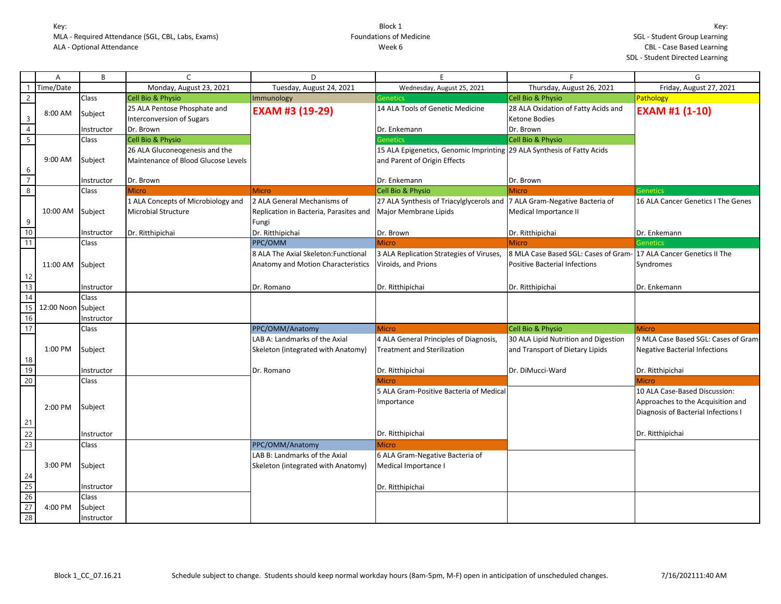|                         | A                  | B          | $\mathsf{C}$                        | D                                      | E                                                                      | F                                    | G                                    |
|-------------------------|--------------------|------------|-------------------------------------|----------------------------------------|------------------------------------------------------------------------|--------------------------------------|--------------------------------------|
| $\mathbf{1}$            | Time/Date          |            | Monday, August 23, 2021             | Tuesday, August 24, 2021               | Wednesday, August 25, 2021                                             | Thursday, August 26, 2021            | Friday, August 27, 2021              |
| $\overline{2}$          |                    | Class      | Cell Bio & Physio                   | Immunology                             | <b>Genetics</b>                                                        | Cell Bio & Physio                    | Pathology                            |
|                         | 8:00 AM            | Subject    | 25 ALA Pentose Phosphate and        | <b>EXAM #3 (19-29)</b>                 | 14 ALA Tools of Genetic Medicine                                       | 28 ALA Oxidation of Fatty Acids and  | <b>EXAM #1 (1-10)</b>                |
| $\overline{\mathbf{3}}$ |                    |            | <b>Interconversion of Sugars</b>    |                                        |                                                                        | Ketone Bodies                        |                                      |
| $\overline{4}$          |                    | Instructor | Dr. Brown                           |                                        | Dr. Enkemann                                                           | Dr. Brown                            |                                      |
| $\overline{5}$          |                    | Class      | Cell Bio & Physio                   |                                        | <b>Genetics</b>                                                        | Cell Bio & Physio                    |                                      |
|                         |                    |            | 26 ALA Gluconeogenesis and the      |                                        | 15 ALA Epigenetics, Genomic Imprinting 29 ALA Synthesis of Fatty Acids |                                      |                                      |
|                         | 9:00 AM            | Subject    | Maintenance of Blood Glucose Levels |                                        | and Parent of Origin Effects                                           |                                      |                                      |
| 6                       |                    |            |                                     |                                        |                                                                        |                                      |                                      |
| $\overline{7}$          |                    | Instructor | Dr. Brown                           |                                        | Dr. Enkemann                                                           | Dr. Brown                            |                                      |
| $\overline{8}$          |                    | Class      | <b>Micro</b>                        | <b>Micro</b>                           | Cell Bio & Physio                                                      | <b>Micro</b>                         | <b>Genetics</b>                      |
|                         |                    |            | 1 ALA Concepts of Microbiology and  | 2 ALA General Mechanisms of            | 27 ALA Synthesis of Triacylglycerols and                               | 7 ALA Gram-Negative Bacteria of      | 16 ALA Cancer Genetics I The Genes   |
|                         | 10:00 AM           | Subject    | <b>Microbial Structure</b>          | Replication in Bacteria, Parasites and | Major Membrane Lipids                                                  | Medical Importance II                |                                      |
| 9                       |                    |            |                                     | Fungi                                  |                                                                        |                                      |                                      |
| 10                      |                    | Instructor | Dr. Ritthipichai                    | Dr. Ritthipichai                       | Dr. Brown                                                              | Dr. Ritthipichai                     | Dr. Enkemann                         |
| 11                      |                    | Class      |                                     | PPC/OMM                                | <b>Micro</b>                                                           | <b>Micro</b>                         | <b>Genetics</b>                      |
|                         |                    |            |                                     | 8 ALA The Axial Skeleton: Functional   | 3 ALA Replication Strategies of Viruses,                               | 8 MLA Case Based SGL: Cases of Gram- | 17 ALA Cancer Genetics II The        |
|                         | 11:00 AM           | Subject    |                                     | Anatomy and Motion Characteristics     | Viroids, and Prions                                                    | <b>Positive Bacterial Infections</b> | Syndromes                            |
| 12                      |                    |            |                                     |                                        |                                                                        |                                      |                                      |
| 13                      |                    | Instructor |                                     | Dr. Romano                             | Dr. Ritthipichai                                                       | Dr. Ritthipichai                     | Dr. Enkemann                         |
| 14                      |                    | Class      |                                     |                                        |                                                                        |                                      |                                      |
| 15                      | 12:00 Noon Subject |            |                                     |                                        |                                                                        |                                      |                                      |
| 16                      |                    | Instructor |                                     |                                        |                                                                        |                                      |                                      |
| 17                      |                    | Class      |                                     | PPC/OMM/Anatomy                        | <b>Micro</b>                                                           | Cell Bio & Physio                    | Micro                                |
|                         |                    |            |                                     | LAB A: Landmarks of the Axial          | 4 ALA General Principles of Diagnosis,                                 | 30 ALA Lipid Nutrition and Digestion | 9 MLA Case Based SGL: Cases of Gram- |
|                         | 1:00 PM            | Subject    |                                     | Skeleton (integrated with Anatomy)     | <b>Treatment and Sterilization</b>                                     | and Transport of Dietary Lipids      | <b>Negative Bacterial Infections</b> |
| 18                      |                    |            |                                     |                                        |                                                                        |                                      |                                      |
| 19                      |                    | Instructor |                                     | Dr. Romano                             | Dr. Ritthipichai                                                       | Dr. DiMucci-Ward                     | Dr. Ritthipichai                     |
| 20                      |                    | Class      |                                     |                                        | <b>Micro</b>                                                           |                                      | <b>Micro</b>                         |
|                         |                    |            |                                     |                                        | 5 ALA Gram-Positive Bacteria of Medical                                |                                      | 10 ALA Case-Based Discussion:        |
|                         |                    |            |                                     |                                        | Importance                                                             |                                      | Approaches to the Acquisition and    |
|                         | 2:00 PM            | Subject    |                                     |                                        |                                                                        |                                      | Diagnosis of Bacterial Infections I  |
| 21                      |                    |            |                                     |                                        |                                                                        |                                      |                                      |
| 22                      |                    | Instructor |                                     |                                        | Dr. Ritthipichai                                                       |                                      | Dr. Ritthipichai                     |
| 23                      |                    | Class      |                                     | PPC/OMM/Anatomy                        | Micro                                                                  |                                      |                                      |
|                         |                    |            |                                     | LAB B: Landmarks of the Axial          | 6 ALA Gram-Negative Bacteria of                                        |                                      |                                      |
|                         | 3:00 PM            | Subject    |                                     | Skeleton (integrated with Anatomy)     | Medical Importance I                                                   |                                      |                                      |
|                         |                    |            |                                     |                                        |                                                                        |                                      |                                      |
| $\frac{24}{25}$         |                    | Instructor |                                     |                                        | Dr. Ritthipichai                                                       |                                      |                                      |
|                         |                    | Class      |                                     |                                        |                                                                        |                                      |                                      |
| $\frac{26}{27}$         | 4:00 PM            | Subject    |                                     |                                        |                                                                        |                                      |                                      |
| 28                      |                    | Instructor |                                     |                                        |                                                                        |                                      |                                      |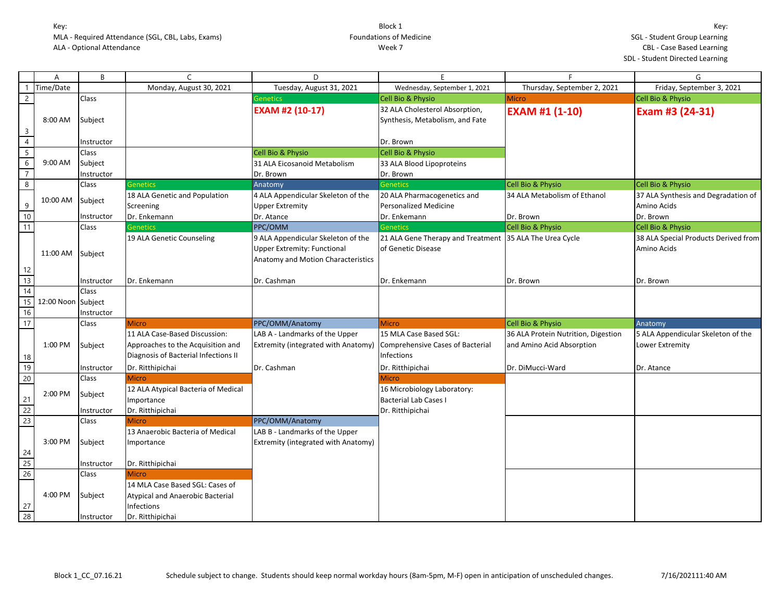|                         | A                  | B                     | $\mathsf{C}$                                                                                               | D                                                                                                              | E                                                                               | F.                                                               | G                                                     |
|-------------------------|--------------------|-----------------------|------------------------------------------------------------------------------------------------------------|----------------------------------------------------------------------------------------------------------------|---------------------------------------------------------------------------------|------------------------------------------------------------------|-------------------------------------------------------|
|                         | Time/Date          |                       | Monday, August 30, 2021                                                                                    | Tuesday, August 31, 2021                                                                                       | Wednesday, September 1, 2021                                                    | Thursday, September 2, 2021                                      | Friday, September 3, 2021                             |
| $\overline{2}$          |                    | Class                 |                                                                                                            | Genetics                                                                                                       | <b>Cell Bio &amp; Physio</b>                                                    | <b>Micro</b>                                                     | Cell Bio & Physio                                     |
| $\overline{\mathbf{3}}$ | 8:00 AM            | Subject               |                                                                                                            | <b>EXAM #2 (10-17)</b>                                                                                         | 32 ALA Cholesterol Absorption,<br>Synthesis, Metabolism, and Fate               | <b>EXAM #1 (1-10)</b>                                            | Exam #3 (24-31)                                       |
| $\overline{4}$          |                    | Instructor            |                                                                                                            |                                                                                                                | Dr. Brown                                                                       |                                                                  |                                                       |
| $\overline{5}$          |                    | <b>Class</b>          |                                                                                                            | Cell Bio & Physio                                                                                              | Cell Bio & Physio                                                               |                                                                  |                                                       |
| $6\,$                   | 9:00 AM            | Subject               |                                                                                                            | 31 ALA Eicosanoid Metabolism                                                                                   | 33 ALA Blood Lipoproteins                                                       |                                                                  |                                                       |
| $\overline{7}$          |                    | Instructor            |                                                                                                            | Dr. Brown                                                                                                      | Dr. Brown                                                                       |                                                                  |                                                       |
| $\infty$                |                    | Class                 | <b>Genetics</b>                                                                                            | Anatomy                                                                                                        | <b>Genetics</b>                                                                 | Cell Bio & Physio                                                | Cell Bio & Physio                                     |
| 9                       | 10:00 AM           | Subject               | 18 ALA Genetic and Population<br>Screening                                                                 | 4 ALA Appendicular Skeleton of the<br><b>Upper Extremity</b>                                                   | 20 ALA Pharmacogenetics and<br><b>Personalized Medicine</b>                     | 34 ALA Metabolism of Ethanol                                     | 37 ALA Synthesis and Degradation of<br>Amino Acids    |
| 10                      |                    | Instructor            | Dr. Enkemann                                                                                               | Dr. Atance                                                                                                     | Dr. Enkemann                                                                    | Dr. Brown                                                        | Dr. Brown                                             |
| $\overline{11}$         |                    | Class                 | <b>Genetics</b>                                                                                            | PPC/OMM                                                                                                        | <b>Genetics</b>                                                                 | Cell Bio & Physio                                                | Cell Bio & Physio                                     |
|                         | 11:00 AM           | Subject               | 19 ALA Genetic Counseling                                                                                  | 9 ALA Appendicular Skeleton of the<br><b>Upper Extremity: Functional</b><br>Anatomy and Motion Characteristics | 21 ALA Gene Therapy and Treatment 35 ALA The Urea Cycle<br>of Genetic Disease   |                                                                  | 38 ALA Special Products Derived from<br>Amino Acids   |
| 12<br>13                |                    |                       |                                                                                                            |                                                                                                                |                                                                                 |                                                                  |                                                       |
| $\overline{14}$         |                    | Instructor<br>Class   | Dr. Enkemann                                                                                               | Dr. Cashman                                                                                                    | Dr. Enkemann                                                                    | Dr. Brown                                                        | Dr. Brown                                             |
| 15<br>16                | 12:00 Noon Subject | Instructor            |                                                                                                            |                                                                                                                |                                                                                 |                                                                  |                                                       |
| 17                      |                    | Class                 | <b>Micro</b>                                                                                               | PPC/OMM/Anatomy                                                                                                | <b>Micro</b>                                                                    | Cell Bio & Physio                                                | Anatomy                                               |
| 18                      | 1:00 PM            | Subject               | 11 ALA Case-Based Discussion:<br>Approaches to the Acquisition and<br>Diagnosis of Bacterial Infections II | LAB A - Landmarks of the Upper<br><b>Extremity (integrated with Anatomy)</b>                                   | 15 MLA Case Based SGL:<br><b>Comprehensive Cases of Bacterial</b><br>Infections | 36 ALA Protein Nutrition, Digestion<br>and Amino Acid Absorption | 5 ALA Appendicular Skeleton of the<br>Lower Extremity |
| 19                      |                    | Instructor            | Dr. Ritthipichai                                                                                           | Dr. Cashman                                                                                                    | Dr. Ritthipichai                                                                | Dr. DiMucci-Ward                                                 | Dr. Atance                                            |
| 20                      |                    | Class                 | <b>Micro</b>                                                                                               |                                                                                                                | Micro                                                                           |                                                                  |                                                       |
| 21<br>22                | 2:00 PM            | Subject<br>Instructor | 12 ALA Atypical Bacteria of Medical<br>Importance<br>Dr. Ritthipichai                                      |                                                                                                                | 16 Microbiology Laboratory:<br><b>Bacterial Lab Cases I</b><br>Dr. Ritthipichai |                                                                  |                                                       |
| 23                      |                    | <b>Class</b>          | <b>Micro</b>                                                                                               | PPC/OMM/Anatomy                                                                                                |                                                                                 |                                                                  |                                                       |
| 24                      | 3:00 PM            | Subject               | 13 Anaerobic Bacteria of Medical<br>Importance                                                             | LAB B - Landmarks of the Upper<br><b>Extremity (integrated with Anatomy)</b>                                   |                                                                                 |                                                                  |                                                       |
| 25                      |                    | Instructor            | Dr. Ritthipichai                                                                                           |                                                                                                                |                                                                                 |                                                                  |                                                       |
| 26                      |                    | Class                 | <b>Micro</b>                                                                                               |                                                                                                                |                                                                                 |                                                                  |                                                       |
| 27                      | 4:00 PM            | Subject               | 14 MLA Case Based SGL: Cases of<br>Atypical and Anaerobic Bacterial<br><b>Infections</b>                   |                                                                                                                |                                                                                 |                                                                  |                                                       |
| $\overline{28}$         |                    | Instructor            | Dr. Ritthipichai                                                                                           |                                                                                                                |                                                                                 |                                                                  |                                                       |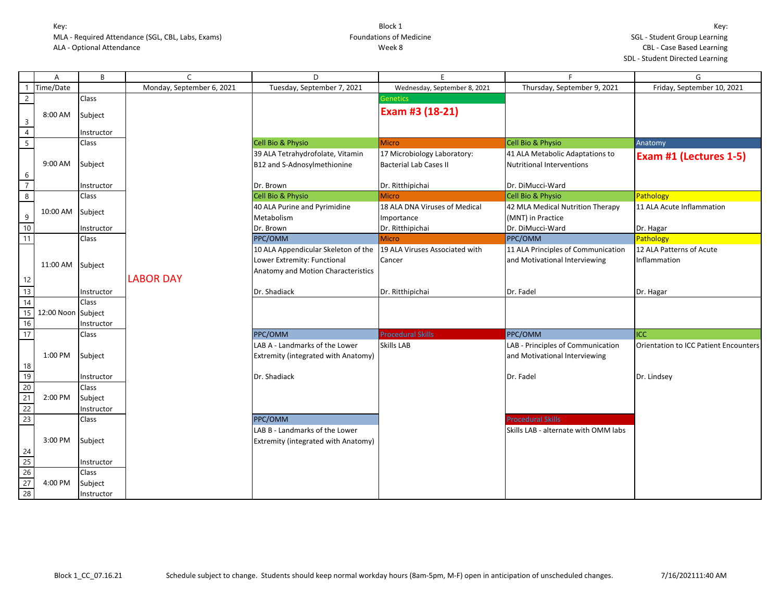|                                                                                        | A                  | B            | C                         | D                                   | E                              | F                                    | G                                     |
|----------------------------------------------------------------------------------------|--------------------|--------------|---------------------------|-------------------------------------|--------------------------------|--------------------------------------|---------------------------------------|
| -1                                                                                     | Time/Date          |              | Monday, September 6, 2021 | Tuesday, September 7, 2021          | Wednesday, September 8, 2021   | Thursday, September 9, 2021          | Friday, September 10, 2021            |
| $\overline{2}$                                                                         |                    | Class        |                           |                                     | <b>Genetics</b>                |                                      |                                       |
| $\overline{3}$                                                                         | 8:00 AM            | Subject      |                           |                                     | Exam #3 (18-21)                |                                      |                                       |
| $\overline{4}$                                                                         |                    | Instructor   |                           |                                     |                                |                                      |                                       |
| $\overline{5}$                                                                         |                    | <b>Class</b> |                           | <b>Cell Bio &amp; Physio</b>        | <b>Micro</b>                   | Cell Bio & Physio                    | Anatomy                               |
|                                                                                        |                    |              |                           | 39 ALA Tetrahydrofolate, Vitamin    | 17 Microbiology Laboratory:    | 41 ALA Metabolic Adaptations to      | Exam #1 (Lectures 1-5)                |
|                                                                                        | 9:00 AM            | Subject      |                           | B12 and S-Adnosylmethionine         | <b>Bacterial Lab Cases II</b>  | <b>Nutritional Interventions</b>     |                                       |
| $\boldsymbol{6}$<br>$\overline{7}$                                                     |                    | Instructor   |                           | Dr. Brown                           | Dr. Ritthipichai               | Dr. DiMucci-Ward                     |                                       |
| $\overline{8}$                                                                         |                    | Class        |                           | Cell Bio & Physio                   | <b>Micro</b>                   | Cell Bio & Physio                    | Pathology                             |
|                                                                                        | 10:00 AM           |              |                           | 40 ALA Purine and Pyrimidine        | 18 ALA DNA Viruses of Medical  | 42 MLA Medical Nutrition Therapy     | 11 ALA Acute Inflammation             |
| 9                                                                                      |                    | Subject      |                           | Metabolism                          | Importance                     | (MNT) in Practice                    |                                       |
| $\overline{10}$                                                                        |                    | Instructor   |                           | Dr. Brown                           | Dr. Ritthipichai               | Dr. DiMucci-Ward                     | Dr. Hagar                             |
| 11                                                                                     |                    | Class        |                           | PPC/OMM                             | <b>Micro</b>                   | PPC/OMM                              | Pathology                             |
|                                                                                        |                    |              |                           | 10 ALA Appendicular Skeleton of the | 19 ALA Viruses Associated with | 11 ALA Principles of Communication   | 12 ALA Patterns of Acute              |
|                                                                                        | 11:00 AM           | Subject      |                           | Lower Extremity: Functional         | Cancer                         | and Motivational Interviewing        | Inflammation                          |
|                                                                                        |                    |              |                           | Anatomy and Motion Characteristics  |                                |                                      |                                       |
| 12                                                                                     |                    |              | <b>LABOR DAY</b>          |                                     |                                |                                      |                                       |
| $\overline{13}$                                                                        |                    | Instructor   |                           | Dr. Shadiack                        | Dr. Ritthipichai               | Dr. Fadel                            | Dr. Hagar                             |
| 14                                                                                     |                    | Class        |                           |                                     |                                |                                      |                                       |
| $\overline{15}$                                                                        | 12:00 Noon Subject |              |                           |                                     |                                |                                      |                                       |
| 16                                                                                     |                    | Instructor   |                           |                                     |                                |                                      |                                       |
| 17                                                                                     |                    | Class        |                           | PPC/OMM                             | <b>Procedural Skills</b>       | PPC/OMM                              | ICC                                   |
|                                                                                        |                    |              |                           | LAB A - Landmarks of the Lower      | <b>Skills LAB</b>              | LAB - Principles of Communication    | Orientation to ICC Patient Encounters |
|                                                                                        | 1:00 PM            | Subject      |                           | Extremity (integrated with Anatomy) |                                | and Motivational Interviewing        |                                       |
| $\frac{18}{19}$                                                                        |                    |              |                           |                                     |                                |                                      |                                       |
|                                                                                        |                    | Instructor   |                           | Dr. Shadiack                        |                                | Dr. Fadel                            | Dr. Lindsey                           |
| $\begin{array}{r} 20 \\ 21 \\ 22 \end{array}$                                          |                    | Class        |                           |                                     |                                |                                      |                                       |
|                                                                                        | 2:00 PM            | Subject      |                           |                                     |                                |                                      |                                       |
|                                                                                        |                    | Instructor   |                           |                                     |                                |                                      |                                       |
| 23                                                                                     |                    | Class        |                           | PPC/OMM                             |                                | <b>Procedural Skills</b>             |                                       |
|                                                                                        |                    |              |                           | LAB B - Landmarks of the Lower      |                                | Skills LAB - alternate with OMM labs |                                       |
|                                                                                        | 3:00 PM            | Subject      |                           | Extremity (integrated with Anatomy) |                                |                                      |                                       |
|                                                                                        |                    |              |                           |                                     |                                |                                      |                                       |
| $\begin{array}{r} \n 24 \\  \hline\n 25 \\  \hline\n 26 \\  \hline\n 27\n \end{array}$ |                    | Instructor   |                           |                                     |                                |                                      |                                       |
|                                                                                        |                    | Class        |                           |                                     |                                |                                      |                                       |
|                                                                                        | 4:00 PM            | Subject      |                           |                                     |                                |                                      |                                       |
| 28                                                                                     |                    | Instructor   |                           |                                     |                                |                                      |                                       |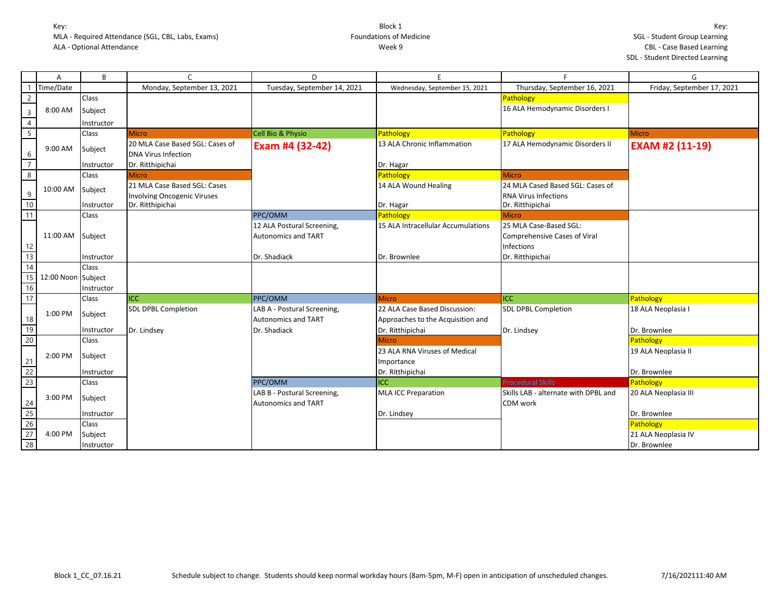|                                                                                       | A                  | B            | $\mathsf{C}$                       | D.                                                        | F                                  | Е                                    | G                          |
|---------------------------------------------------------------------------------------|--------------------|--------------|------------------------------------|-----------------------------------------------------------|------------------------------------|--------------------------------------|----------------------------|
| -1                                                                                    | Time/Date          |              | Monday, September 13, 2021         | Tuesday, September 14, 2021                               | Wednesday, September 15, 2021      | Thursday, September 16, 2021         | Friday, September 17, 2021 |
| $\overline{2}$                                                                        |                    | <b>Class</b> |                                    |                                                           |                                    | Pathology                            |                            |
| $\overline{3}$                                                                        | 8:00 AM            | Subject      |                                    |                                                           |                                    | 16 ALA Hemodynamic Disorders I       |                            |
| $\overline{4}$                                                                        |                    | Instructor   |                                    |                                                           |                                    |                                      |                            |
| $\overline{\phantom{0}}$                                                              |                    | Class        | <b>Micro</b>                       | Cell Bio & Physio                                         | Pathology                          | Pathology                            | <b>Micro</b>               |
|                                                                                       | 9:00 AM            | Subject      | 20 MLA Case Based SGL: Cases of    | Exam #4 (32-42)                                           | 13 ALA Chronic Inflammation        | 17 ALA Hemodynamic Disorders II      | <b>EXAM #2 (11-19)</b>     |
| 6                                                                                     |                    |              | <b>DNA Virus Infection</b>         |                                                           |                                    |                                      |                            |
| $\overline{7}$                                                                        |                    | Instructor   | Dr. Ritthipichai                   |                                                           | Dr. Hagar                          |                                      |                            |
| $\overline{8}$                                                                        |                    | Class        | <b>Micro</b>                       |                                                           | Pathology                          | Micro                                |                            |
|                                                                                       | 10:00 AM           | Subject      | 21 MLA Case Based SGL: Cases       |                                                           | 14 ALA Wound Healing               | 24 MLA Cased Based SGL: Cases of     |                            |
| $\boldsymbol{9}$                                                                      |                    |              | <b>Involving Oncogenic Viruses</b> |                                                           |                                    | RNA Virus Infections                 |                            |
| 10                                                                                    |                    | Instructor   | Dr. Ritthipichai                   |                                                           | Dr. Hagar                          | Dr. Ritthipichai                     |                            |
| 11                                                                                    |                    | <b>Class</b> |                                    | PPC/OMM                                                   | Pathology                          | Micro                                |                            |
|                                                                                       |                    |              |                                    | 12 ALA Postural Screening,                                | 15 ALA Intracellular Accumulations | 25 MLA Case-Based SGL:               |                            |
|                                                                                       | 11:00 AM           | Subject      |                                    | <b>Autonomics and TART</b>                                |                                    | Comprehensive Cases of Viral         |                            |
| $\frac{12}{13}$                                                                       |                    |              |                                    |                                                           |                                    | Infections                           |                            |
|                                                                                       |                    | Instructor   |                                    | Dr. Shadiack                                              | Dr. Brownlee                       | Dr. Ritthipichai                     |                            |
| 14                                                                                    |                    | <b>Class</b> |                                    |                                                           |                                    |                                      |                            |
| 15                                                                                    | 12:00 Noon Subject |              |                                    |                                                           |                                    |                                      |                            |
| $16$                                                                                  |                    | Instructor   |                                    |                                                           |                                    |                                      |                            |
| 17                                                                                    |                    | Class        | <b>ICC</b>                         | PPC/OMM                                                   | <b>Micro</b>                       | <b>I</b> ICC                         | Pathology                  |
|                                                                                       | 1:00 PM            | Subject      | <b>SDL DPBL Completion</b>         | LAB A - Postural Screening,                               | 22 ALA Case Based Discussion:      | <b>SDL DPBL Completion</b>           | 18 ALA Neoplasia I         |
| 18                                                                                    |                    |              |                                    | <b>Autonomics and TART</b>                                | Approaches to the Acquisition and  |                                      |                            |
| $\frac{19}{20}$                                                                       |                    | Instructor   | Dr. Lindsey                        | Dr. Shadiack                                              | Dr. Ritthipichai                   | Dr. Lindsey                          | Dr. Brownlee               |
|                                                                                       |                    | Class        |                                    |                                                           | <b>Micro</b>                       |                                      | Pathology                  |
|                                                                                       | 2:00 PM            | Subject      |                                    |                                                           | 23 ALA RNA Viruses of Medical      |                                      | 19 ALA Neoplasia II        |
|                                                                                       |                    |              |                                    |                                                           | Importance                         |                                      |                            |
| $\begin{array}{r} 21 \\ 22 \\ 23 \end{array}$                                         |                    | Instructor   |                                    | PPC/OMM                                                   | Dr. Ritthipichai<br>ICC            | <b>Procedural Skills</b>             | Dr. Brownlee               |
|                                                                                       |                    | Class        |                                    |                                                           |                                    | Skills LAB - alternate with DPBL and | Pathology                  |
|                                                                                       | 3:00 PM            | Subject      |                                    | LAB B - Postural Screening,<br><b>Autonomics and TART</b> | <b>MLA ICC Preparation</b>         | CDM work                             | 20 ALA Neoplasia III       |
| $\begin{array}{r} 24 \\ \hline 25 \\ \hline 26 \\ \hline 27 \\ \hline 28 \end{array}$ |                    | Instructor   |                                    |                                                           | Dr. Lindsey                        |                                      | Dr. Brownlee               |
|                                                                                       |                    | Class        |                                    |                                                           |                                    |                                      | Pathology                  |
|                                                                                       | 4:00 PM            |              |                                    |                                                           |                                    |                                      | 21 ALA Neoplasia IV        |
|                                                                                       |                    | Subject      |                                    |                                                           |                                    |                                      |                            |
|                                                                                       |                    | Instructor   |                                    |                                                           |                                    |                                      | Dr. Brownlee               |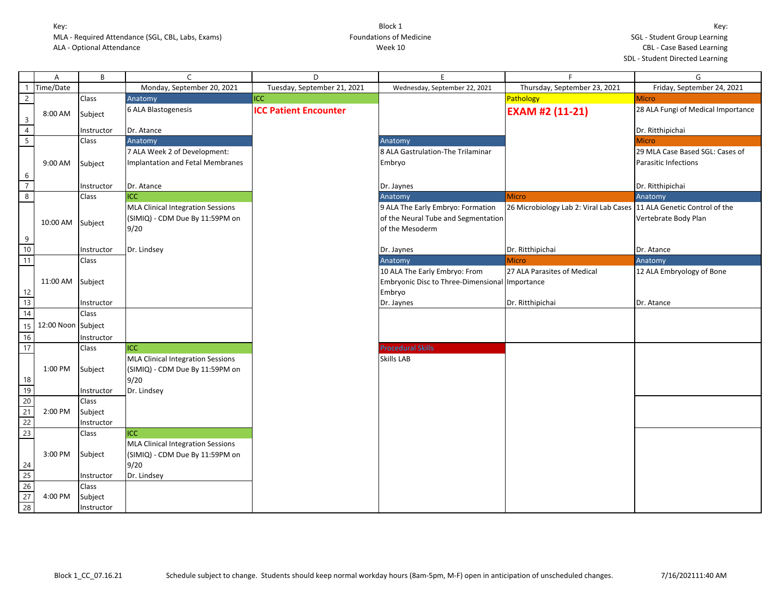|                                                                                                       | Α          | B          | $\mathsf{C}$                             | D                            | E                                              | $\mathsf{F}$                           | G                                  |
|-------------------------------------------------------------------------------------------------------|------------|------------|------------------------------------------|------------------------------|------------------------------------------------|----------------------------------------|------------------------------------|
|                                                                                                       | Time/Date  |            | Monday, September 20, 2021               | Tuesday, September 21, 2021  | Wednesday, September 22, 2021                  | Thursday, September 23, 2021           | Friday, September 24, 2021         |
| $\overline{2}$                                                                                        |            | Class      | Anatomy                                  | ICC                          |                                                | Pathology                              | <b>Micro</b>                       |
| $\overline{3}$                                                                                        | 8:00 AM    | Subject    | 6 ALA Blastogenesis                      | <b>ICC Patient Encounter</b> |                                                | <b>EXAM #2 (11-21)</b>                 | 28 ALA Fungi of Medical Importance |
| $\overline{4}$                                                                                        |            | Instructor | Dr. Atance                               |                              |                                                |                                        | Dr. Ritthipichai                   |
| $\overline{5}$                                                                                        |            | Class      | Anatomy                                  |                              | Anatomy                                        |                                        | <b>Micro</b>                       |
|                                                                                                       |            |            | 7 ALA Week 2 of Development:             |                              | 8 ALA Gastrulation-The Trilaminar              |                                        | 29 MLA Case Based SGL: Cases of    |
|                                                                                                       | 9:00 AM    | Subject    | Implantation and Fetal Membranes         |                              | Embryo                                         |                                        | <b>Parasitic Infections</b>        |
| 6                                                                                                     |            |            |                                          |                              |                                                |                                        |                                    |
| $\overline{7}$                                                                                        |            | Instructor | Dr. Atance                               |                              | Dr. Jaynes                                     |                                        | Dr. Ritthipichai                   |
| $\overline{8}$                                                                                        |            | Class      | <b>ICC</b>                               |                              | Anatomy                                        | <b>Micro</b>                           | Anatomy                            |
|                                                                                                       |            |            | <b>MLA Clinical Integration Sessions</b> |                              | 9 ALA The Early Embryo: Formation              | 26 Microbiology Lab 2: Viral Lab Cases | 11 ALA Genetic Control of the      |
|                                                                                                       | 10:00 AM   |            | (SIMIQ) - CDM Due By 11:59PM on          |                              | of the Neural Tube and Segmentation            |                                        | Vertebrate Body Plan               |
|                                                                                                       |            | Subject    | 9/20                                     |                              | of the Mesoderm                                |                                        |                                    |
| 9                                                                                                     |            |            |                                          |                              |                                                |                                        |                                    |
| 10                                                                                                    |            | Instructor | Dr. Lindsey                              |                              | Dr. Jaynes                                     | Dr. Ritthipichai                       | Dr. Atance                         |
| 11                                                                                                    |            | Class      |                                          |                              | Anatomy                                        | <b>Micro</b>                           | Anatomy                            |
|                                                                                                       |            |            |                                          |                              | 10 ALA The Early Embryo: From                  | 27 ALA Parasites of Medical            | 12 ALA Embryology of Bone          |
|                                                                                                       | 11:00 AM   | Subject    |                                          |                              | Embryonic Disc to Three-Dimensional Importance |                                        |                                    |
| 12                                                                                                    |            |            |                                          |                              | Embryo                                         |                                        |                                    |
| $\frac{13}{14}$                                                                                       |            | Instructor |                                          |                              | Dr. Jaynes                                     | Dr. Ritthipichai                       | Dr. Atance                         |
|                                                                                                       |            | Class      |                                          |                              |                                                |                                        |                                    |
| 15                                                                                                    | 12:00 Noon | Subject    |                                          |                              |                                                |                                        |                                    |
| 16                                                                                                    |            | Instructor |                                          |                              |                                                |                                        |                                    |
| 17                                                                                                    |            | Class      | <b>ICC</b>                               |                              | <b>Procedural Skills</b>                       |                                        |                                    |
|                                                                                                       |            |            | <b>MLA Clinical Integration Sessions</b> |                              | Skills LAB                                     |                                        |                                    |
|                                                                                                       | 1:00 PM    | Subject    | (SIMIQ) - CDM Due By 11:59PM on          |                              |                                                |                                        |                                    |
| 18                                                                                                    |            |            | 9/20                                     |                              |                                                |                                        |                                    |
| $\frac{19}{20}$                                                                                       |            | Instructor | Dr. Lindsey                              |                              |                                                |                                        |                                    |
|                                                                                                       |            | Class      |                                          |                              |                                                |                                        |                                    |
| $\frac{21}{22}$                                                                                       | 2:00 PM    | Subject    |                                          |                              |                                                |                                        |                                    |
| 23                                                                                                    |            | Instructor |                                          |                              |                                                |                                        |                                    |
|                                                                                                       |            | Class      | <b>ICC</b>                               |                              |                                                |                                        |                                    |
|                                                                                                       | 3:00 PM    |            | <b>MLA Clinical Integration Sessions</b> |                              |                                                |                                        |                                    |
|                                                                                                       |            | Subject    | (SIMIQ) - CDM Due By 11:59PM on          |                              |                                                |                                        |                                    |
|                                                                                                       |            | Instructor | 9/20<br>Dr. Lindsey                      |                              |                                                |                                        |                                    |
|                                                                                                       |            | Class      |                                          |                              |                                                |                                        |                                    |
|                                                                                                       | 4:00 PM    | Subject    |                                          |                              |                                                |                                        |                                    |
| $\begin{array}{r}\n 24 \\  \hline\n 25 \\  \hline\n 26 \\  \hline\n 27 \\  \hline\n 28\n \end{array}$ |            | Instructor |                                          |                              |                                                |                                        |                                    |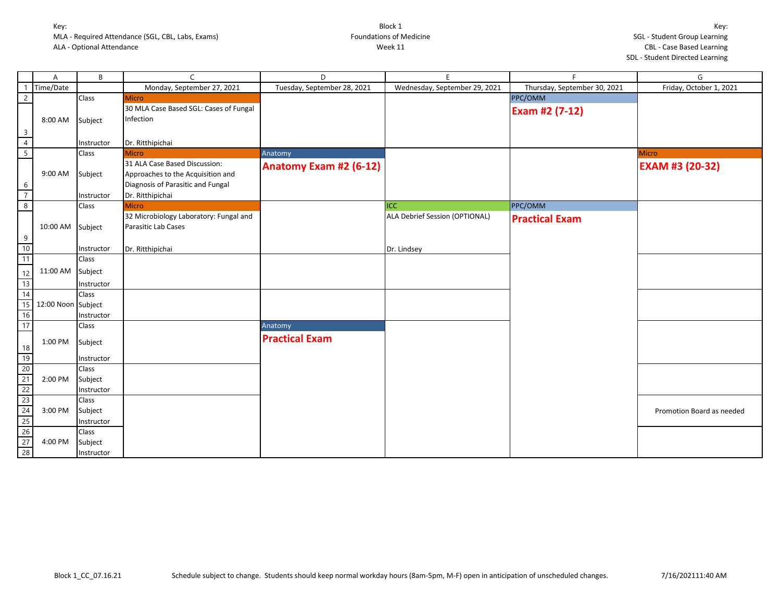|                                                                                                    | A                  | B          | $\mathsf{C}$                           | D                           | E.                             | F.                           | G                         |
|----------------------------------------------------------------------------------------------------|--------------------|------------|----------------------------------------|-----------------------------|--------------------------------|------------------------------|---------------------------|
| -1                                                                                                 | Time/Date          |            | Monday, September 27, 2021             | Tuesday, September 28, 2021 | Wednesday, September 29, 2021  | Thursday, September 30, 2021 | Friday, October 1, 2021   |
| $\overline{2}$                                                                                     |                    | Class      | <b>Micro</b>                           |                             |                                | PPC/OMM                      |                           |
|                                                                                                    |                    |            | 30 MLA Case Based SGL: Cases of Fungal |                             |                                | Exam #2 (7-12)               |                           |
|                                                                                                    | 8:00 AM            | Subject    | Infection                              |                             |                                |                              |                           |
| $\overline{3}$                                                                                     |                    |            |                                        |                             |                                |                              |                           |
| $\overline{4}$                                                                                     |                    | Instructor | Dr. Ritthipichai                       |                             |                                |                              |                           |
| $\overline{5}$                                                                                     |                    | Class      | <b>Micro</b>                           | Anatomy                     |                                |                              | <b>Micro</b>              |
|                                                                                                    |                    |            | 31 ALA Case Based Discussion:          |                             |                                |                              |                           |
|                                                                                                    | 9:00 AM            | Subject    | Approaches to the Acquisition and      | Anatomy Exam #2 (6-12)      |                                |                              | <b>EXAM #3 (20-32)</b>    |
| 6                                                                                                  |                    |            | Diagnosis of Parasitic and Fungal      |                             |                                |                              |                           |
| $\overline{7}$                                                                                     |                    | Instructor | Dr. Ritthipichai                       |                             |                                |                              |                           |
| $\overline{8}$                                                                                     |                    | Class      | <b>Micro</b>                           |                             | ICC                            | PPC/OMM                      |                           |
|                                                                                                    |                    |            | 32 Microbiology Laboratory: Fungal and |                             | ALA Debrief Session (OPTIONAL) | <b>Practical Exam</b>        |                           |
|                                                                                                    | 10:00 AM Subject   |            | Parasitic Lab Cases                    |                             |                                |                              |                           |
|                                                                                                    |                    |            |                                        |                             |                                |                              |                           |
|                                                                                                    |                    | Instructor | Dr. Ritthipichai                       |                             | Dr. Lindsey                    |                              |                           |
| $\begin{array}{c}\n9 \\ 10 \\ 11\n\end{array}$                                                     |                    | Class      |                                        |                             |                                |                              |                           |
|                                                                                                    |                    |            |                                        |                             |                                |                              |                           |
|                                                                                                    | 11:00 AM Subject   |            |                                        |                             |                                |                              |                           |
|                                                                                                    |                    | Instructor |                                        |                             |                                |                              |                           |
|                                                                                                    |                    | Class      |                                        |                             |                                |                              |                           |
|                                                                                                    | 12:00 Noon Subject |            |                                        |                             |                                |                              |                           |
| $\begin{array}{r} 12 \\ \hline 13 \\ \hline 14 \\ \hline 15 \\ \hline 16 \\ \hline 17 \end{array}$ |                    | Instructor |                                        |                             |                                |                              |                           |
|                                                                                                    |                    | Class      |                                        | Anatomy                     |                                |                              |                           |
|                                                                                                    | 1:00 PM            | Subject    |                                        | <b>Practical Exam</b>       |                                |                              |                           |
|                                                                                                    |                    |            |                                        |                             |                                |                              |                           |
|                                                                                                    |                    | Instructor |                                        |                             |                                |                              |                           |
|                                                                                                    |                    | Class      |                                        |                             |                                |                              |                           |
|                                                                                                    | 2:00 PM            | Subject    |                                        |                             |                                |                              |                           |
|                                                                                                    |                    | Instructor |                                        |                             |                                |                              |                           |
| 18<br>19<br>20<br>21<br>22<br>23<br>24<br>25<br>26<br>27<br>28                                     |                    | Class      |                                        |                             |                                |                              |                           |
|                                                                                                    | 3:00 PM            | Subject    |                                        |                             |                                |                              | Promotion Board as needed |
|                                                                                                    |                    | Instructor |                                        |                             |                                |                              |                           |
|                                                                                                    |                    | Class      |                                        |                             |                                |                              |                           |
|                                                                                                    | 4:00 PM            | Subject    |                                        |                             |                                |                              |                           |
|                                                                                                    |                    | Instructor |                                        |                             |                                |                              |                           |